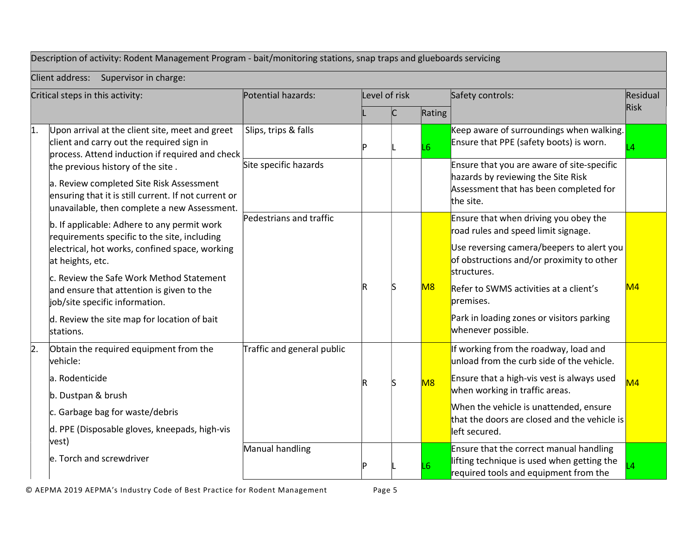## Description of activity: Rodent Management Program - bait/monitoring stations, snap traps and glueboards servicing

Client address: Supervisor in charge:

| Critical steps in this activity: |                                                                                                                                                                                       | Potential hazards:         | Level of risk |  |        | Safety controls:                                                                                                                                                       | Residual |
|----------------------------------|---------------------------------------------------------------------------------------------------------------------------------------------------------------------------------------|----------------------------|---------------|--|--------|------------------------------------------------------------------------------------------------------------------------------------------------------------------------|----------|
|                                  |                                                                                                                                                                                       |                            |               |  | Rating |                                                                                                                                                                        | Risk     |
| 1.                               | Upon arrival at the client site, meet and greet<br>client and carry out the required sign in<br>process. Attend induction if required and check                                       | Slips, trips & falls       |               |  | L6     | Keep aware of surroundings when walking.<br>Ensure that PPE (safety boots) is worn.                                                                                    | ۱4       |
|                                  | the previous history of the site.<br>a. Review completed Site Risk Assessment<br>ensuring that it is still current. If not current or<br>unavailable, then complete a new Assessment. | Site specific hazards      |               |  |        | Ensure that you are aware of site-specific<br>hazards by reviewing the Site Risk<br>Assessment that has been completed for<br>the site.                                |          |
|                                  | b. If applicable: Adhere to any permit work<br>requirements specific to the site, including<br>electrical, hot works, confined space, working                                         | Pedestrians and traffic    |               |  |        | Ensure that when driving you obey the<br>road rules and speed limit signage.<br>Use reversing camera/beepers to alert you<br>of obstructions and/or proximity to other |          |
|                                  | at heights, etc.<br>c. Review the Safe Work Method Statement<br>and ensure that attention is given to the<br>job/site specific information.                                           |                            |               |  | M8     | structures.<br>Refer to SWMS activities at a client's<br>premises.                                                                                                     | M4       |
|                                  | d. Review the site map for location of bait<br>stations.                                                                                                                              |                            |               |  |        | Park in loading zones or visitors parking<br>whenever possible.                                                                                                        |          |
| 2.                               | Obtain the required equipment from the<br>vehicle:                                                                                                                                    | Traffic and general public |               |  |        | If working from the roadway, load and<br>unload from the curb side of the vehicle.                                                                                     |          |
|                                  | la. Rodenticide                                                                                                                                                                       |                            |               |  | M8     | Ensure that a high-vis vest is always used<br>when working in traffic areas.                                                                                           | M4       |
|                                  | b. Dustpan & brush<br>c. Garbage bag for waste/debris<br>d. PPE (Disposable gloves, kneepads, high-vis                                                                                |                            |               |  |        | When the vehicle is unattended, ensure<br>that the doors are closed and the vehicle is<br>left secured.                                                                |          |
|                                  | vest)<br>le. Torch and screwdriver                                                                                                                                                    | Manual handling            |               |  | L6     | Ensure that the correct manual handling<br>lifting technique is used when getting the<br>required tools and equipment from the                                         |          |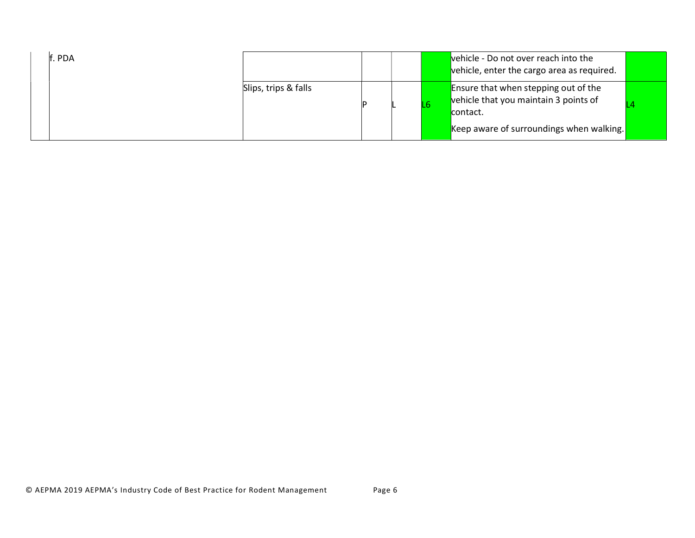| lf. PDA |                      |  | vehicle - Do not over reach into the<br>vehicle, enter the cargo area as required.                                                           |  |
|---------|----------------------|--|----------------------------------------------------------------------------------------------------------------------------------------------|--|
|         | Slips, trips & falls |  | <b>Ensure that when stepping out of the</b><br>vehicle that you maintain 3 points of<br>contact.<br>Keep aware of surroundings when walking. |  |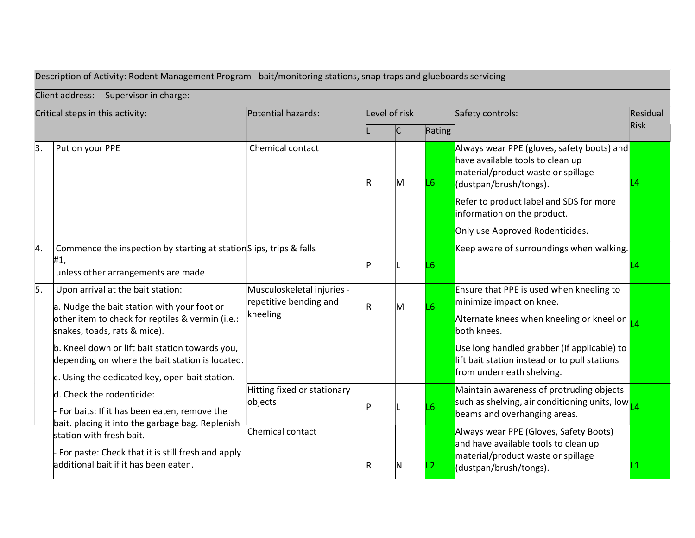| Description of Activity: Rodent Management Program - bait/monitoring stations, snap traps and glueboards servicing |                                                                                                    |                                                      |               |   |                 |                                                                                                                                                |          |
|--------------------------------------------------------------------------------------------------------------------|----------------------------------------------------------------------------------------------------|------------------------------------------------------|---------------|---|-----------------|------------------------------------------------------------------------------------------------------------------------------------------------|----------|
|                                                                                                                    | Client address: Supervisor in charge:                                                              |                                                      |               |   |                 |                                                                                                                                                |          |
| Critical steps in this activity:                                                                                   |                                                                                                    | Potential hazards:                                   | Level of risk |   |                 | Safety controls:                                                                                                                               | Residual |
|                                                                                                                    |                                                                                                    |                                                      |               |   | Rating          |                                                                                                                                                | Risk     |
| 3.                                                                                                                 | Put on your PPE                                                                                    | Chemical contact                                     | IR            | M | L6              | Always wear PPE (gloves, safety boots) and<br>have available tools to clean up<br>material/product waste or spillage<br>(dustpan/brush/tongs). |          |
|                                                                                                                    |                                                                                                    |                                                      |               |   |                 | Refer to product label and SDS for more<br>information on the product.                                                                         |          |
|                                                                                                                    |                                                                                                    |                                                      |               |   |                 | Only use Approved Rodenticides.                                                                                                                |          |
| 4.                                                                                                                 | Commence the inspection by starting at station Slips, trips & falls                                |                                                      |               |   |                 | Keep aware of surroundings when walking.                                                                                                       |          |
|                                                                                                                    | #1,<br>unless other arrangements are made                                                          |                                                      |               |   | $\overline{L6}$ |                                                                                                                                                |          |
| 5.                                                                                                                 | Upon arrival at the bait station:<br>a. Nudge the bait station with your foot or                   | Musculoskeletal injuries -<br>repetitive bending and |               | M | L <sub>6</sub>  | Ensure that PPE is used when kneeling to<br>minimize impact on knee.                                                                           |          |
|                                                                                                                    | other item to check for reptiles & vermin (i.e.:<br>snakes, toads, rats & mice).                   | kneeling                                             |               |   |                 | Alternate knees when kneeling or kneel on $\frac{1}{14}$<br>both knees.                                                                        |          |
|                                                                                                                    | b. Kneel down or lift bait station towards you,<br>depending on where the bait station is located. |                                                      |               |   |                 | Use long handled grabber (if applicable) to<br>lift bait station instead or to pull stations<br>from underneath shelving.                      |          |
|                                                                                                                    | c. Using the dedicated key, open bait station.                                                     | Hitting fixed or stationary                          |               |   |                 | Maintain awareness of protruding objects                                                                                                       |          |
|                                                                                                                    | d. Check the rodenticide:                                                                          | objects                                              |               |   | L6              | such as shelving, air conditioning units, low <sub>14</sub>                                                                                    |          |
|                                                                                                                    | For baits: If it has been eaten, remove the<br>bait. placing it into the garbage bag. Replenish    |                                                      |               |   |                 | beams and overhanging areas.                                                                                                                   |          |
|                                                                                                                    | station with fresh bait.                                                                           | Chemical contact                                     |               |   |                 | Always wear PPE (Gloves, Safety Boots)<br>and have available tools to clean up                                                                 |          |
|                                                                                                                    | For paste: Check that it is still fresh and apply<br>additional bait if it has been eaten.         |                                                      |               |   | .2              | material/product waste or spillage<br>(dustpan/brush/tongs).                                                                                   |          |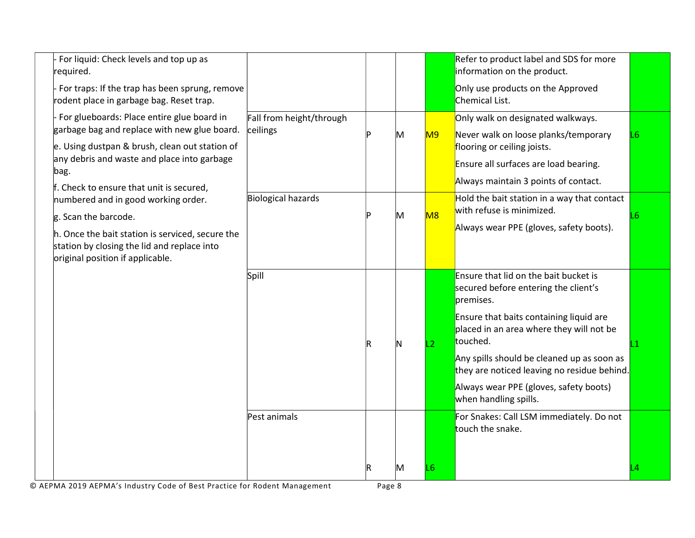| For liquid: Check levels and top up as<br>required.<br>For traps: If the trap has been sprung, remove<br>rodent place in garbage bag. Reset trap.                                                                                                      |                                      |   |                | Refer to product label and SDS for more<br>information on the product.<br>Only use products on the Approved<br>Chemical List.                                                                                                                                                                                                                                 |    |
|--------------------------------------------------------------------------------------------------------------------------------------------------------------------------------------------------------------------------------------------------------|--------------------------------------|---|----------------|---------------------------------------------------------------------------------------------------------------------------------------------------------------------------------------------------------------------------------------------------------------------------------------------------------------------------------------------------------------|----|
| For glueboards: Place entire glue board in<br>garbage bag and replace with new glue board.<br>e. Using dustpan & brush, clean out station of<br>any debris and waste and place into garbage<br>$\beta$ ag.<br>f. Check to ensure that unit is secured, | Fall from height/through<br>ceilings | M | M9             | Only walk on designated walkways.<br>Never walk on loose planks/temporary<br>flooring or ceiling joists.<br>Ensure all surfaces are load bearing.<br>Always maintain 3 points of contact.                                                                                                                                                                     | L6 |
| numbered and in good working order.<br>g. Scan the barcode.<br>h. Once the bait station is serviced, secure the<br>station by closing the lid and replace into<br>original position if applicable.                                                     | Biological hazards                   | M | M <sub>8</sub> | Hold the bait station in a way that contact<br>with refuse is minimized.<br>Always wear PPE (gloves, safety boots).                                                                                                                                                                                                                                           | L6 |
|                                                                                                                                                                                                                                                        | Spill                                |   | $\overline{2}$ | Ensure that lid on the bait bucket is<br>secured before entering the client's<br>premises.<br>Ensure that baits containing liquid are<br>placed in an area where they will not be<br>touched.<br>Any spills should be cleaned up as soon as<br>they are noticed leaving no residue behind.<br>Always wear PPE (gloves, safety boots)<br>when handling spills. |    |
|                                                                                                                                                                                                                                                        | Pest animals                         | M | L <sub>6</sub> | For Snakes: Call LSM immediately. Do not<br>touch the snake.                                                                                                                                                                                                                                                                                                  |    |

© AEPMA 2019 AEPMA's Industry Code of Best Practice for Rodent Management Page 8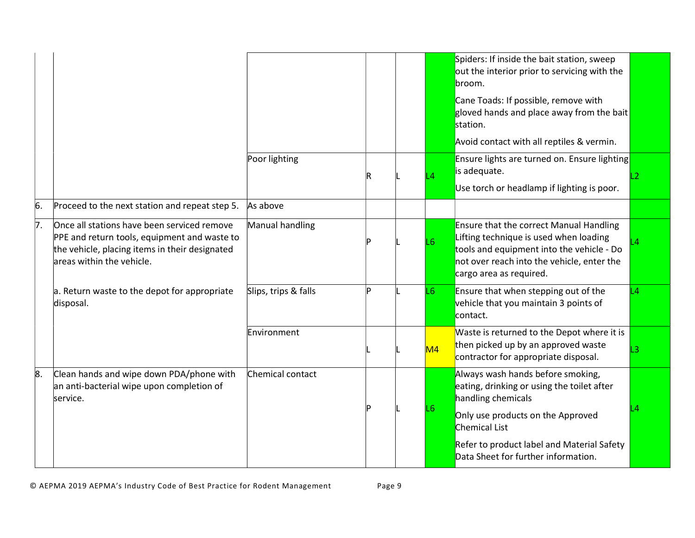|    |                                                                                                                                                                            |                      |   |                | Spiders: If inside the bait station, sweep<br>out the interior prior to servicing with the<br>broom.<br>Cane Toads: If possible, remove with<br>gloved hands and place away from the bait<br>station.<br>Avoid contact with all reptiles & vermin. |
|----|----------------------------------------------------------------------------------------------------------------------------------------------------------------------------|----------------------|---|----------------|----------------------------------------------------------------------------------------------------------------------------------------------------------------------------------------------------------------------------------------------------|
|    |                                                                                                                                                                            | Poor lighting        | R | $\overline{4}$ | <b>Ensure lights are turned on. Ensure lighting</b><br>is adequate.<br>Use torch or headlamp if lighting is poor.                                                                                                                                  |
| 6. | Proceed to the next station and repeat step 5.                                                                                                                             | As above             |   |                |                                                                                                                                                                                                                                                    |
| 7. | Once all stations have been serviced remove<br>PPE and return tools, equipment and waste to<br>the vehicle, placing items in their designated<br>areas within the vehicle. | Manual handling      |   | L6             | <b>Ensure that the correct Manual Handling</b><br>Lifting technique is used when loading<br>tools and equipment into the vehicle - Do<br>not over reach into the vehicle, enter the<br>cargo area as required.                                     |
|    | a. Return waste to the depot for appropriate<br>disposal.                                                                                                                  | Slips, trips & falls |   | L6             | Ensure that when stepping out of the<br>L <sub>4</sub><br>vehicle that you maintain 3 points of<br>contact.                                                                                                                                        |
|    |                                                                                                                                                                            | Environment          |   | M4             | Waste is returned to the Depot where it is<br>then picked up by an approved waste<br>contractor for appropriate disposal.                                                                                                                          |
| 8. | Clean hands and wipe down PDA/phone with<br>an anti-bacterial wipe upon completion of<br>service.                                                                          | Chemical contact     |   | L6             | Always wash hands before smoking,<br>eating, drinking or using the toilet after<br>handling chemicals<br>Only use products on the Approved<br>Chemical List                                                                                        |
|    |                                                                                                                                                                            |                      |   |                | Refer to product label and Material Safety<br>Data Sheet for further information.                                                                                                                                                                  |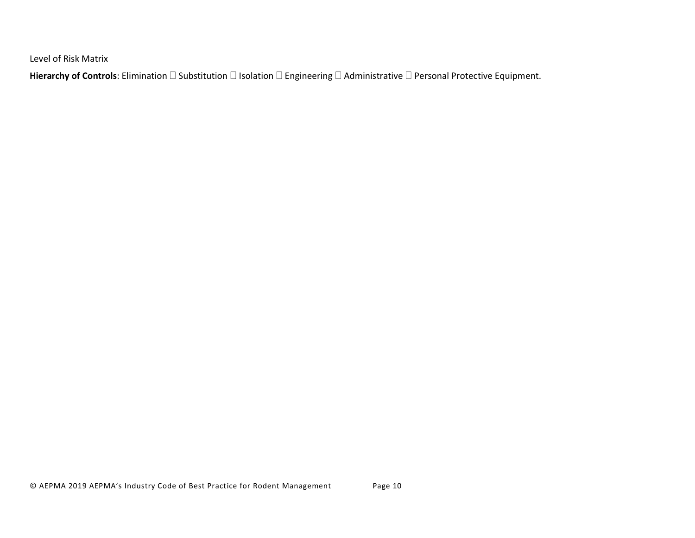Level of Risk Matrix

Hierarchy of Controls: Elimination  $\Box$  Substitution  $\Box$  Isolation  $\Box$  Engineering  $\Box$  Administrative  $\Box$  Personal Protective Equipment.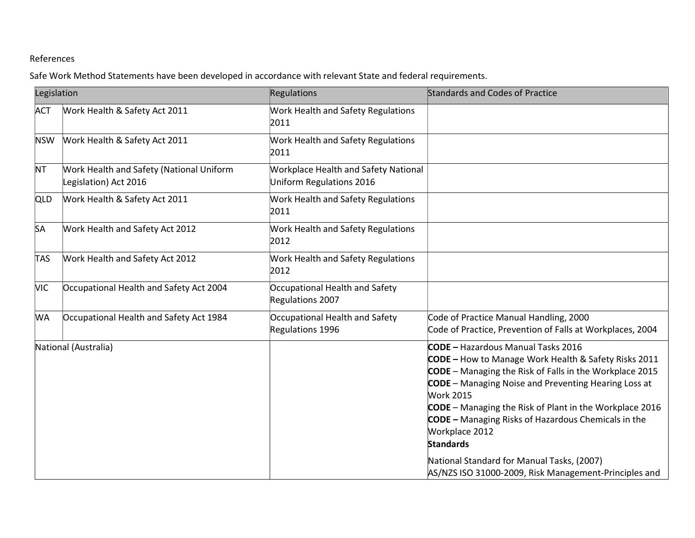## References

Safe Work Method Statements have been developed in accordance with relevant State and federal requirements.

| Legislation |                                                                   | Regulations                                                             | Standards and Codes of Practice                                                                                                                                                                                                                                                                                                                                                                                       |  |  |
|-------------|-------------------------------------------------------------------|-------------------------------------------------------------------------|-----------------------------------------------------------------------------------------------------------------------------------------------------------------------------------------------------------------------------------------------------------------------------------------------------------------------------------------------------------------------------------------------------------------------|--|--|
| <b>ACT</b>  | Work Health & Safety Act 2011                                     | <b>Work Health and Safety Regulations</b><br>2011                       |                                                                                                                                                                                                                                                                                                                                                                                                                       |  |  |
| <b>NSW</b>  | Work Health & Safety Act 2011                                     | Work Health and Safety Regulations<br>2011                              |                                                                                                                                                                                                                                                                                                                                                                                                                       |  |  |
| <b>NT</b>   | Work Health and Safety (National Uniform<br>Legislation) Act 2016 | <b>Workplace Health and Safety National</b><br>Uniform Regulations 2016 |                                                                                                                                                                                                                                                                                                                                                                                                                       |  |  |
| <b>QLD</b>  | Work Health & Safety Act 2011                                     | Work Health and Safety Regulations<br>2011                              |                                                                                                                                                                                                                                                                                                                                                                                                                       |  |  |
| <b>SA</b>   | Work Health and Safety Act 2012                                   | Work Health and Safety Regulations<br>2012                              |                                                                                                                                                                                                                                                                                                                                                                                                                       |  |  |
| <b>TAS</b>  | Work Health and Safety Act 2012                                   | <b>Work Health and Safety Regulations</b><br>2012                       |                                                                                                                                                                                                                                                                                                                                                                                                                       |  |  |
| <b>VIC</b>  | Occupational Health and Safety Act 2004                           | Occupational Health and Safety<br>Regulations 2007                      |                                                                                                                                                                                                                                                                                                                                                                                                                       |  |  |
| <b>WA</b>   | Occupational Health and Safety Act 1984                           | Occupational Health and Safety<br>Regulations 1996                      | Code of Practice Manual Handling, 2000<br>Code of Practice, Prevention of Falls at Workplaces, 2004                                                                                                                                                                                                                                                                                                                   |  |  |
|             | National (Australia)                                              |                                                                         | <b>CODE</b> - Hazardous Manual Tasks 2016<br>CODE - How to Manage Work Health & Safety Risks 2011<br><b>CODE</b> - Managing the Risk of Falls in the Workplace 2015<br><b>CODE</b> – Managing Noise and Preventing Hearing Loss at<br><b>Work 2015</b><br>CODE - Managing the Risk of Plant in the Workplace 2016<br><b>CODE</b> - Managing Risks of Hazardous Chemicals in the<br>Workplace 2012<br><b>Standards</b> |  |  |
|             |                                                                   |                                                                         | National Standard for Manual Tasks, (2007)<br>AS/NZS ISO 31000-2009, Risk Management-Principles and                                                                                                                                                                                                                                                                                                                   |  |  |